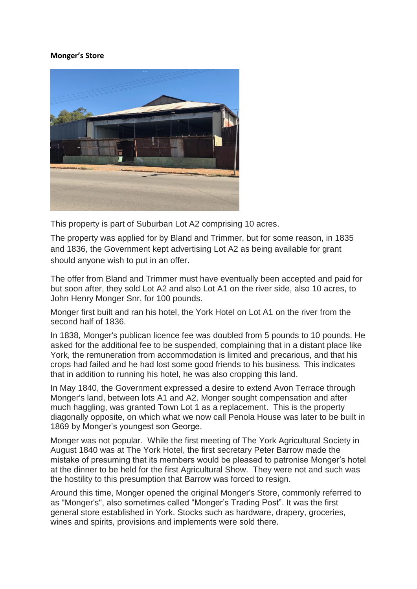## **Monger's Store**



This property is part of Suburban Lot A2 comprising 10 acres.

The property was applied for by Bland and Trimmer, but for some reason, in 1835 and 1836, the Government kept advertising Lot A2 as being available for grant should anyone wish to put in an offer.

The offer from Bland and Trimmer must have eventually been accepted and paid for but soon after, they sold Lot A2 and also Lot A1 on the river side, also 10 acres, to John Henry Monger Snr, for 100 pounds.

Monger first built and ran his hotel, the York Hotel on Lot A1 on the river from the second half of 1836.

In 1838, Monger's publican licence fee was doubled from 5 pounds to 10 pounds. He asked for the additional fee to be suspended, complaining that in a distant place like York, the remuneration from accommodation is limited and precarious, and that his crops had failed and he had lost some good friends to his business. This indicates that in addition to running his hotel, he was also cropping this land.

In May 1840, the Government expressed a desire to extend Avon Terrace through Monger's land, between lots A1 and A2. Monger sought compensation and after much haggling, was granted Town Lot 1 as a replacement. This is the property diagonally opposite, on which what we now call Penola House was later to be built in 1869 by Monger's youngest son George.

Monger was not popular. While the first meeting of The York Agricultural Society in August 1840 was at The York Hotel, the first secretary Peter Barrow made the mistake of presuming that its members would be pleased to patronise Monger"s hotel at the dinner to be held for the first Agricultural Show. They were not and such was the hostility to this presumption that Barrow was forced to resign.

Around this time, Monger opened the original Monger's Store, commonly referred to as "Monger's", also sometimes called "Monger"s Trading Post". It was the first general store established in York. Stocks such as hardware, drapery, groceries, wines and spirits, provisions and implements were sold there.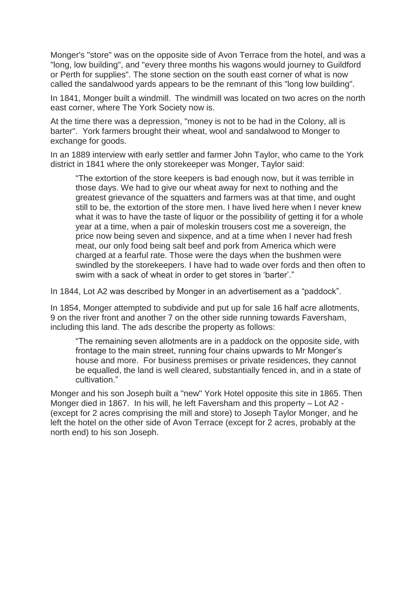Monger's "store" was on the opposite side of Avon Terrace from the hotel, and was a "long, low building", and "every three months his wagons would journey to Guildford or Perth for supplies". The stone section on the south east corner of what is now called the sandalwood yards appears to be the remnant of this "long low building".

In 1841, Monger built a windmill. The windmill was located on two acres on the north east corner, where The York Society now is.

At the time there was a depression, "money is not to be had in the Colony, all is barter". York farmers brought their wheat, wool and sandalwood to Monger to exchange for goods.

In an 1889 interview with early settler and farmer John Taylor, who came to the York district in 1841 where the only storekeeper was Monger, Taylor said:

"The extortion of the store keepers is bad enough now, but it was terrible in those days. We had to give our wheat away for next to nothing and the greatest grievance of the squatters and farmers was at that time, and ought still to be, the extortion of the store men. I have lived here when I never knew what it was to have the taste of liquor or the possibility of getting it for a whole year at a time, when a pair of moleskin trousers cost me a sovereign, the price now being seven and sixpence, and at a time when I never had fresh meat, our only food being salt beef and pork from America which were charged at a fearful rate. Those were the days when the bushmen were swindled by the storekeepers. I have had to wade over fords and then often to swim with a sack of wheat in order to get stores in 'barter'."

In 1844, Lot A2 was described by Monger in an advertisement as a "paddock".

In 1854, Monger attempted to subdivide and put up for sale 16 half acre allotments, 9 on the river front and another 7 on the other side running towards Faversham, including this land. The ads describe the property as follows:

"The remaining seven allotments are in a paddock on the opposite side, with frontage to the main street, running four chains upwards to Mr Monger"s house and more. For business premises or private residences, they cannot be equalled, the land is well cleared, substantially fenced in, and in a state of cultivation."

Monger and his son Joseph built a "new" York Hotel opposite this site in 1865. Then Monger died in 1867. In his will, he left Faversham and this property – Lot A2 - (except for 2 acres comprising the mill and store) to Joseph Taylor Monger, and he left the hotel on the other side of Avon Terrace (except for 2 acres, probably at the north end) to his son Joseph.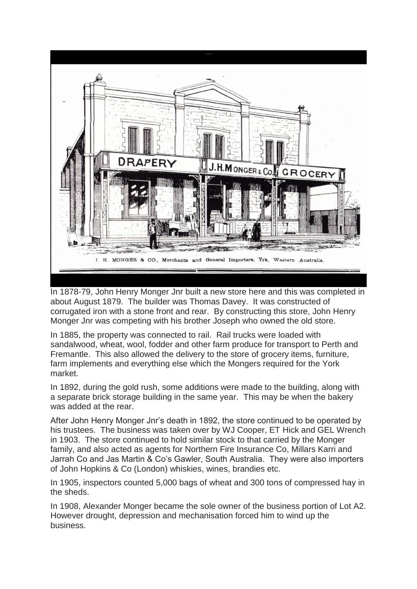

In 1878-79, John Henry Monger Jnr built a new store here and this was completed in about August 1879. The builder was Thomas Davey. It was constructed of corrugated iron with a stone front and rear. By constructing this store, John Henry Monger Jnr was competing with his brother Joseph who owned the old store.

In 1885, the property was connected to rail. Rail trucks were loaded with sandalwood, wheat, wool, fodder and other farm produce for transport to Perth and Fremantle. This also allowed the delivery to the store of grocery items, furniture, farm implements and everything else which the Mongers required for the York market.

In 1892, during the gold rush, some additions were made to the building, along with a separate brick storage building in the same year. This may be when the bakery was added at the rear.

After John Henry Monger Jnr"s death in 1892, the store continued to be operated by his trustees. The business was taken over by WJ Cooper, ET Hick and GEL Wrench in 1903. The store continued to hold similar stock to that carried by the Monger family, and also acted as agents for Northern Fire Insurance Co, Millars Karri and Jarrah Co and Jas Martin & Co"s Gawler, South Australia. They were also importers of John Hopkins & Co (London) whiskies, wines, brandies etc.

In 1905, inspectors counted 5,000 bags of wheat and 300 tons of compressed hay in the sheds.

In 1908, Alexander Monger became the sole owner of the business portion of Lot A2. However drought, depression and mechanisation forced him to wind up the business.